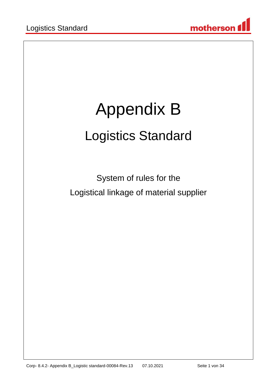

# Appendix B Logistics Standard

System of rules for the Logistical linkage of material supplier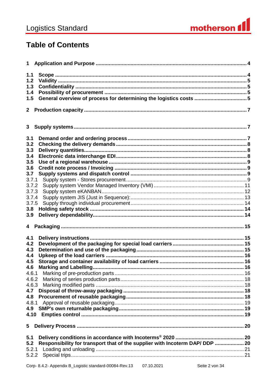

# **Table of Contents**

| 1.1        |                                                                              |  |
|------------|------------------------------------------------------------------------------|--|
| 1.2        |                                                                              |  |
| 1.3        |                                                                              |  |
| 1.4        |                                                                              |  |
| 1.5        | General overview of process for determining the logistics costs 5            |  |
|            |                                                                              |  |
|            |                                                                              |  |
|            |                                                                              |  |
| 3.1        |                                                                              |  |
| 3.2        |                                                                              |  |
| 3.3        |                                                                              |  |
| 3.4        |                                                                              |  |
| 3.5        |                                                                              |  |
| 3.6        |                                                                              |  |
| 3.7        |                                                                              |  |
| 3.7.1      |                                                                              |  |
| 3.7.2      |                                                                              |  |
| 3.7.3      |                                                                              |  |
| 3.7.4      |                                                                              |  |
| 3.7.5      |                                                                              |  |
| 3.8        |                                                                              |  |
| 3.9        |                                                                              |  |
|            |                                                                              |  |
|            |                                                                              |  |
| 4.1        |                                                                              |  |
| 4.2        |                                                                              |  |
| 4.3        |                                                                              |  |
| 4.4        |                                                                              |  |
| 4.5<br>4.6 |                                                                              |  |
|            |                                                                              |  |
|            |                                                                              |  |
|            |                                                                              |  |
| 4.7        |                                                                              |  |
| 4.8        |                                                                              |  |
| 4.8.1      |                                                                              |  |
| 4.9        |                                                                              |  |
| 4.10       |                                                                              |  |
|            |                                                                              |  |
| 5          |                                                                              |  |
| 5.1        |                                                                              |  |
| 5.2        | Responsibility for transport that of the supplier with Incoterm DAP/ DDP  20 |  |
| 5.2.1      |                                                                              |  |
| 5.2.2      |                                                                              |  |
|            |                                                                              |  |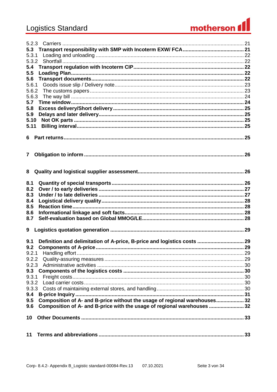# **Logistics Standard**



| 5.3                                                                             |  |
|---------------------------------------------------------------------------------|--|
| 5.3.1                                                                           |  |
| 5.3.2                                                                           |  |
| 5.4                                                                             |  |
| 5.5                                                                             |  |
| 5.6                                                                             |  |
| 5.6.1                                                                           |  |
| 5.6.2                                                                           |  |
|                                                                                 |  |
| 5.7                                                                             |  |
| 5.8                                                                             |  |
|                                                                                 |  |
| 5.9                                                                             |  |
| 5.10                                                                            |  |
| 5.11                                                                            |  |
|                                                                                 |  |
|                                                                                 |  |
|                                                                                 |  |
|                                                                                 |  |
| 7 <sup>7</sup>                                                                  |  |
|                                                                                 |  |
|                                                                                 |  |
|                                                                                 |  |
|                                                                                 |  |
| 8.1                                                                             |  |
| 8.2                                                                             |  |
|                                                                                 |  |
| 8.3                                                                             |  |
| 8.4                                                                             |  |
| 8.5                                                                             |  |
| 8.6                                                                             |  |
| 8.7                                                                             |  |
|                                                                                 |  |
| 9                                                                               |  |
|                                                                                 |  |
| Definition and delimitation of A-price, B-price and logistics costs  29<br>9.1  |  |
|                                                                                 |  |
| 9.2.1                                                                           |  |
|                                                                                 |  |
| 9.2.2                                                                           |  |
| 9.2.3                                                                           |  |
| 9.3                                                                             |  |
| 9.3.1                                                                           |  |
| 9.3.2                                                                           |  |
|                                                                                 |  |
| 9.4                                                                             |  |
| Composition of A- and B-price without the usage of regional warehouses32<br>9.5 |  |
| Composition of A- and B-price with the usage of regional warehouses 32<br>9.6   |  |
|                                                                                 |  |
| 10                                                                              |  |
|                                                                                 |  |
|                                                                                 |  |
|                                                                                 |  |
| 11                                                                              |  |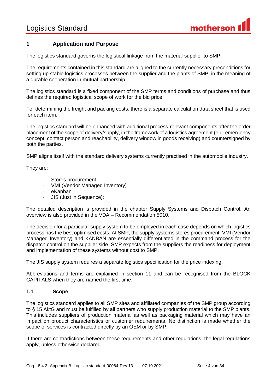

# <span id="page-3-0"></span>**1 Application and Purpose**

The logistics standard governs the logistical linkage from the material supplier to SMP.

The requirements contained in this standard are aligned to the currently necessary preconditions for setting up stable logistics processes between the supplier and the plants of SMP, in the meaning of a durable cooperation in mutual partnership.

The logistics standard is a fixed component of the SMP terms and conditions of purchase and thus defines the required logistical scope of work for the bid price.

For determining the freight and packing costs, there is a separate calculation data sheet that is used for each item.

The logistics standard will be enhanced with additional process-relevant components after the order placement of the scope of delivery/supply, in the framework of a logistics agreement (e.g. emergency concept, contact person and reachability, delivery window in goods receiving) and countersigned by both the parties.

SMP aligns itself with the standard delivery systems currently practised in the automobile industry.

They are:

- Stores procurement
- VMI (Vendor Managed Inventory)
- eKanban
- JIS (Just in Sequence):

The detailed description is provided in the chapter Supply Systems and Dispatch Control. An overview is also provided in the VDA – Recommendation 5010.

The decision for a particular supply system to be employed in each case depends on which logistics process has the best optimised costs. At SMP, the supply systems stores procurement, VMI (Vendor Managed Inventory) and KANBAN are essentially differentiated in the command process for the dispatch control on the supplier side. SMP expects from the suppliers the readiness for deployment and implementation of these systems without cost to SMP.

The JIS supply system requires a separate logistics specification for the price indexing.

Abbreviations and terms are explained in section 11 and can be recognised from the BLOCK CAPITALS when they are named the first time.

#### <span id="page-3-1"></span>**1.1 Scope**

The logistics standard applies to all SMP sites and affiliated companies of the SMP group according to § 15 AktG and must be fulfilled by all partners who supply production material to the SMP plants. This includes suppliers of production material as well as packaging material which may have an impact on product characteristics or customer requirements. No distinction is made whether the scope of services is contracted directly by an OEM or by SMP.

If there are contradictions between these requirements and other regulations, the legal regulations apply, unless otherwise declared.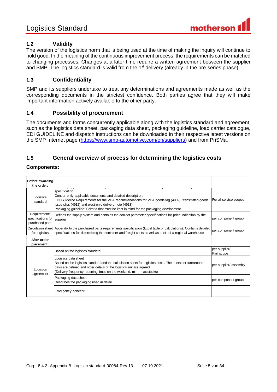

# <span id="page-4-0"></span>**1.2 Validity**

The version of the logistics norm that is being used at the time of making the inquiry will continue to hold good. In the meaning of the continuous improvement process, the requirements can be matched to changing processes. Changes at a later time require a written agreement between the supplier and SMP. The logistics standard is valid from the 1<sup>st</sup> delivery (already in the pre-series phase).

# <span id="page-4-1"></span>**1.3 Confidentiality**

SMP and its suppliers undertake to treat any determinations and agreements made as well as the corresponding documents in the strictest confidence. Both parties agree that they will make important information actively available to the other party.

### <span id="page-4-2"></span>**1.4 Possibility of procurement**

The documents and forms concurrently applicable along with the logistics standard and agreement, such as the logistics data sheet, packaging data sheet, packaging guideline, load carrier catalogue, EDI GUIDELINE and dispatch instructions can be downloaded in their respective latest versions on the SMP Internet page [\(https://www.smp-automotive.com/en/suppliers\)](https://www.smp-automotive.com/en/suppliers) and from PriSMa.

# <span id="page-4-3"></span>**1.5 General overview of process for determining the logistics costs**

#### **Components:**

| Before awarding<br>the order:                                                                                                                                                                                                                                                                                                                                   |                                                                                                                                                                                                                                                                                |                             |
|-----------------------------------------------------------------------------------------------------------------------------------------------------------------------------------------------------------------------------------------------------------------------------------------------------------------------------------------------------------------|--------------------------------------------------------------------------------------------------------------------------------------------------------------------------------------------------------------------------------------------------------------------------------|-----------------------------|
| specification.<br>Concurrently applicable documents and detailed description:<br>Logistics<br>EDI Guideline Requirements for the VDA recommendations for VDA goods tag (4902), transmitted goods<br>standard<br>issue slips (4912) and electronic delivery note (4913)<br>Packaging guideline: Criteria that must be kept in mind for the packaging development |                                                                                                                                                                                                                                                                                | For all service scopes      |
| Requirements<br>specifications for<br>purchased parts                                                                                                                                                                                                                                                                                                           | Defines the supply system and contains the correct parameter specifications for price indication by the<br>per component group<br>supplier                                                                                                                                     |                             |
| Calculation sheet Appendix to the purchased parts requirements specification (Excel table of calculations). Contains detailed<br>specifications for determining the container and freight costs as well as costs of a regional warehouse<br>for logistics                                                                                                       |                                                                                                                                                                                                                                                                                | per component group         |
| After order<br>placement:                                                                                                                                                                                                                                                                                                                                       |                                                                                                                                                                                                                                                                                |                             |
|                                                                                                                                                                                                                                                                                                                                                                 | Based on the logistics standard                                                                                                                                                                                                                                                | per supplier/<br>Part scope |
| Logistics<br>agreement                                                                                                                                                                                                                                                                                                                                          | Logistics data sheet<br>Based on the logistics standard and the calculation sheet for logistics costs. The container turnaround<br>days are defined and other details of the logistics link are agreed<br>(Delivery frequency, opening times on the weekend, min - max stocks) | per supplier/ assembly      |
|                                                                                                                                                                                                                                                                                                                                                                 | Packaging data sheet:<br>Describes the packaging used in detail                                                                                                                                                                                                                | per component group         |
|                                                                                                                                                                                                                                                                                                                                                                 | Emergency concept:                                                                                                                                                                                                                                                             |                             |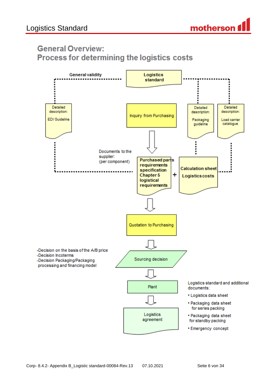

# **General Overview:** Process for determining the logistics costs

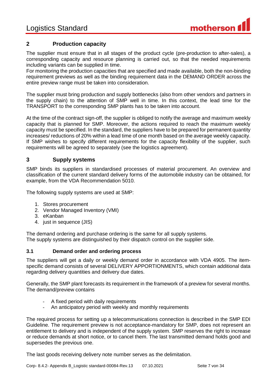

# <span id="page-6-0"></span>**2 Production capacity**

The supplier must ensure that in all stages of the product cycle (pre-production to after-sales), a corresponding capacity and resource planning is carried out, so that the needed requirements including variants can be supplied in time.

For monitoring the production capacities that are specified and made available, both the non-binding requirement previews as well as the binding requirement data in the DEMAND ORDER across the entire preview range must be taken into consideration.

The supplier must bring production and supply bottlenecks (also from other vendors and partners in the supply chain) to the attention of SMP well in time. In this context, the lead time for the TRANSPORT to the corresponding SMP plants has to be taken into account.

At the time of the contract sign-off, the supplier is obliged to notify the average and maximum weekly capacity that is planned for SMP. Moreover, the actions required to reach the maximum weekly capacity must be specified. In the standard, the suppliers have to be prepared for permanent quantity increases/ reductions of 20% within a lead time of one month based on the average weekly capacity. If SMP wishes to specify different requirements for the capacity flexibility of the supplier, such requirements will be agreed to separately (see the logistics agreement).

# <span id="page-6-1"></span>**3 Supply systems**

SMP binds its suppliers in standardised processes of material procurement. An overview and classification of the current standard delivery forms of the automobile industry can be obtained, for example, from the VDA Recommendation 5010.

The following supply systems are used at SMP:

- 1. Stores procurement
- 2. Vendor Managed Inventory (VMI)
- 3. eKanban
- 4. just in sequence (JIS)

The demand ordering and purchase ordering is the same for all supply systems. The supply systems are distinguished by their dispatch control on the supplier side.

#### <span id="page-6-2"></span>**3.1 Demand order and ordering process**

The suppliers will get a daily or weekly demand order in accordance with VDA 4905. The itemspecific demand consists of several DELIVERY APPORTIONMENTS, which contain additional data regarding delivery quantities and delivery due dates.

Generally, the SMP plant forecasts its requirement in the framework of a preview for several months. The demand/preview contains

- A fixed period with daily requirements
- An anticipatory period with weekly and monthly requirements

The required process for setting up a telecommunications connection is described in the SMP EDI Guideline. The requirement preview is not acceptance-mandatory for SMP, does not represent an entitlement to delivery and is independent of the supply system. SMP reserves the right to increase or reduce demands at short notice, or to cancel them. The last transmitted demand holds good and supersedes the previous one.

The last goods receiving delivery note number serves as the delimitation.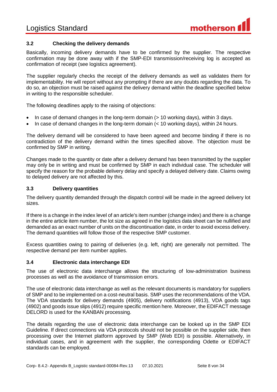

### <span id="page-7-0"></span>**3.2 Checking the delivery demands**

Basically, incoming delivery demands have to be confirmed by the supplier. The respective confirmation may be done away with if the SMP-EDI transmission/receiving log is accepted as confirmation of receipt (see logistics agreement).

The supplier regularly checks the receipt of the delivery demands as well as validates them for implementability. He will report without any prompting if there are any doubts regarding the data. To do so, an objection must be raised against the delivery demand within the deadline specified below in writing to the responsible scheduler.

The following deadlines apply to the raising of objections:

- In case of demand changes in the long-term domain (> 10 working days), within 3 days.
- In case of demand changes in the long-term domain (< 10 working days), within 24 hours.

The delivery demand will be considered to have been agreed and become binding if there is no contradiction of the delivery demand within the times specified above. The objection must be confirmed by SMP in writing.

Changes made to the quantity or date after a delivery demand has been transmitted by the supplier may only be in writing and must be confirmed by SMP in each individual case. The scheduler will specify the reason for the probable delivery delay and specify a delayed delivery date. Claims owing to delayed delivery are not affected by this.

#### <span id="page-7-1"></span>**3.3 Delivery quantities**

The delivery quantity demanded through the dispatch control will be made in the agreed delivery lot sizes.

If there is a change in the index level of an article's item number (change index) and there is a change in the entire article item number, the lot size as agreed in the logistics data sheet can be nullified and demanded as an exact number of units on the discontinuation date, in order to avoid excess delivery. The demand quantities will follow those of the respective SMP customer.

Excess quantities owing to pairing of deliveries (e.g. left, right) are generally not permitted. The respective demand per item number applies.

#### <span id="page-7-2"></span>**3.4 Electronic data interchange EDI**

The use of electronic data interchange allows the structuring of low-administration business processes as well as the avoidance of transmission errors.

The use of electronic data interchange as well as the relevant documents is mandatory for suppliers of SMP and to be implemented on a cost-neutral basis. SMP uses the recommendations of the VDA. The VDA standards for delivery demands (4905), delivery notifications (4913), VDA goods tags (4902) and goods issue slips (4912) require specific mention here. Moreover, the EDIFACT message DELORD is used for the KANBAN processing.

The details regarding the use of electronic data interchange can be looked up in the SMP EDI Guideline. If direct connections via VDA protocols should not be possible on the supplier side, then processing over the Internet platform approved by SMP (Web EDI) is possible. Alternatively, in individual cases, and in agreement with the supplier, the corresponding Odette or EDIFACT standards can be employed.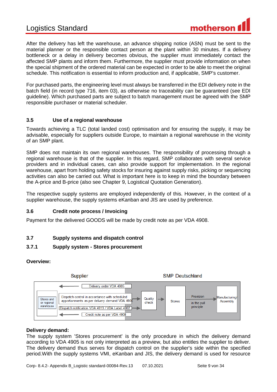After the delivery has left the warehouse, an advance shipping notice (ASN) must be sent to the material planner or the responsible contact person at the plant within 30 minutes. If a delivery bottleneck or a delay in delivery becomes obvious, the supplier must immediately contact the affected SMP plants and inform them. Furthermore, the supplier must provide information on when the special shipment of the ordered material can be expected in order to be able to meet the original schedule. This notification is essential to inform production and, if applicable, SMP's customer.

For purchased parts, the engineering level must always be transferred in the EDI delivery note in the batch field (in record type 716, item 03), as otherwise no traceability can be guaranteed (see EDI guideline). Which purchased parts are subject to batch management must be agreed with the SMP responsible purchaser or material scheduler.

# <span id="page-8-0"></span>**3.5 Use of a regional warehouse**

Towards achieving a TLC (total landed cost) optimisation and for ensuring the supply, it may be advisable, especially for suppliers outside Europe, to maintain a regional warehouse in the vicinity of an SMP plant.

SMP does not maintain its own regional warehouses. The responsibility of processing through a regional warehouse is that of the supplier. In this regard, SMP collaborates with several service providers and in individual cases, can also provide support for implementation. In the regional warehouse, apart from holding safety stocks for insuring against supply risks, picking or sequencing activities can also be carried out. What is important here is to keep in mind the boundary between the A-price and B-price (also see Chapter 9, Logistical Quotation Generation).

The respective supply systems are employed independently of this. However, in the context of a supplier warehouse, the supply systems eKanban and JIS are used by preference.

#### <span id="page-8-1"></span>**3.6 Credit note process / Invoicing**

Payment for the delivered GOODS will be made by credit note as per VDA 4908.

# <span id="page-8-2"></span>**3.7 Supply systems and dispatch control**

# <span id="page-8-3"></span>**3.7.1 Supply system - Stores procurement**

#### **Overview:**



#### **Delivery demand:**

The supply system 'Stores procurement' is the only procedure in which the delivery demand according to VDA 4905 is not only interpreted as a preview, but also entitles the supplier to deliver. The delivery demand thus serves for dispatch control on the supplier's side within the specified period.With the supply systems VMI, eKanban and JIS, the delivery demand is used for resource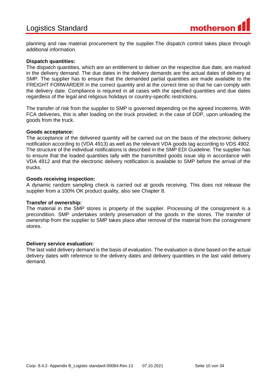planning and raw material procurement by the supplier.The dispatch control takes place through additional information.

#### **Dispatch quantities:**

The dispatch quantities, which are an entitlement to deliver on the respective due date, are marked in the delivery demand. The due dates in the delivery demands are the actual dates of delivery at SMP. The supplier has to ensure that the demanded partial quantities are made available to the FREIGHT FORWARDER in the correct quantity and at the correct time so that he can comply with the delivery date. Compliance is required in all cases with the specified quantities and due dates regardless of the legal and religious holidays or country-specific restrictions.

The transfer of risk from the supplier to SMP is governed depending on the agreed Incoterms. With FCA deliveries, this is after loading on the truck provided; in the case of DDP, upon unloading the goods from the truck.

#### **Goods acceptance:**

The acceptance of the delivered quantity will be carried out on the basis of the electronic delivery notification according to (VDA 4913) as well as the relevant VDA goods tag according to VDS 4902. The structure of the individual notifications is described in the SMP EDI Guideline. The supplier has to ensure that the loaded quantities tally with the transmitted goods issue slip in accordance with VDA 4912 and that the electronic delivery notification is available to SMP before the arrival of the trucks.

#### **Goods receiving inspection:**

A dynamic random sampling check is carried out at goods receiving. This does not release the supplier from a 100% OK product quality, also see Chapter 8.

#### **Transfer of ownership:**

The material in the SMP stores is property of the supplier. Processing of the consignment is a precondition. SMP undertakes orderly preservation of the goods in the stores. The transfer of ownership from the supplier to SMP takes place after removal of the material from the consignment stores.

#### **Delivery service evaluation:**

The last valid delivery demand is the basis of evaluation. The evaluation is done based on the actual delivery dates with reference to the delivery dates and delivery quantities in the last valid delivery demand.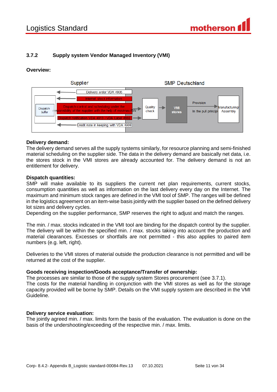# <span id="page-10-0"></span>**3.7.2 Supply system Vendor Managed Inventory (VMI)**

#### **Overview:**



#### **Delivery demand:**

The delivery demand serves all the supply systems similarly, for resource planning and semi-finished material scheduling on the supplier side. The data in the delivery demand are basically net data, i.e. the stores stock in the VMI stores are already accounted for. The delivery demand is not an entitlement for delivery.

#### **Dispatch quantities:**

SMP will make available to its suppliers the current net plan requirements, current stocks, consumption quantities as well as information on the last delivery every day on the Internet. The maximum and minimum stock ranges are defined in the VMI tool of SMP. The ranges will be defined in the logistics agreement on an item-wise basis jointly with the supplier based on the defined delivery lot sizes and delivery cycles.

Depending on the supplier performance, SMP reserves the right to adjust and match the ranges.

The min. / max. stocks indicated in the VMI tool are binding for the dispatch control by the supplier. The delivery will be within the specified min. / max. stocks taking into account the production and material clearances. Excesses or shortfalls are not permitted - this also applies to paired item numbers (e.g. left, right).

Deliveries to the VMI stores of material outside the production clearance is not permitted and will be returned at the cost of the supplier.

#### **Goods receiving inspection/Goods acceptance/Transfer of ownership:**

The processes are similar to those of the supply system Stores procurement (see 3.7.1). The costs for the material handling in conjunction with the VMI stores as well as for the storage capacity provided will be borne by SMP. Details on the VMI supply system are described in the VMI Guideline.

#### **Delivery service evaluation:**

The jointly agreed min. / max. limits form the basis of the evaluation. The evaluation is done on the basis of the undershooting/exceeding of the respective min. / max. limits.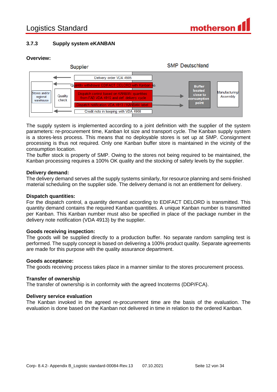

# <span id="page-11-0"></span>**3.7.3 Supply system eKANBAN**

### **Overview:**



The supply system is implemented according to a joint definition with the supplier of the system parameters: re-procurement time, Kanban lot size and transport cycle. The Kanban supply system is a stores-less process. This means that no deployable stores is set up at SMP. Consignment processing is thus not required. Only one Kanban buffer store is maintained in the vicinity of the consumption location.

The buffer stock is property of SMP. Owing to the stores not being required to be maintained, the Kanban processing requires a 100% OK quality and the stocking of safety levels by the supplier.

#### **Delivery demand:**

The delivery demand serves all the supply systems similarly, for resource planning and semi-finished material scheduling on the supplier side. The delivery demand is not an entitlement for delivery.

#### **Dispatch quantities:**

For the dispatch control, a quantity demand according to EDIFACT DELORD is transmitted. This quantity demand contains the required Kanban quantities. A unique Kanban number is transmitted per Kanban. This Kanban number must also be specified in place of the package number in the delivery note notification (VDA 4913) by the supplier.

#### **Goods receiving inspection:**

The goods will be supplied directly to a production buffer. No separate random sampling test is performed. The supply concept is based on delivering a 100% product quality. Separate agreements are made for this purpose with the quality assurance department.

#### **Goods acceptance:**

The goods receiving process takes place in a manner similar to the stores procurement process.

#### **Transfer of ownership**

The transfer of ownership is in conformity with the agreed Incoterms (DDP/FCA).

#### **Delivery service evaluation**

The Kanban invoked in the agreed re-procurement time are the basis of the evaluation. The evaluation is done based on the Kanban not delivered in time in relation to the ordered Kanban.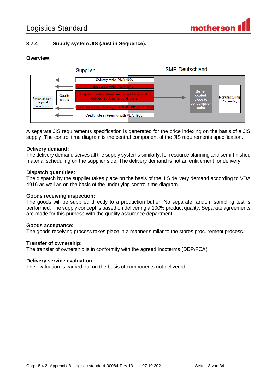# <span id="page-12-0"></span>**3.7.4 Supply system JIS (Just in Sequence):**

## **Overview:**



A separate JIS requirements specification is generated for the price indexing on the basis of a JIS supply. The control time diagram is the central component of the JIS requirements specification.

#### **Delivery demand:**

The delivery demand serves all the supply systems similarly, for resource planning and semi-finished material scheduling on the supplier side. The delivery demand is not an entitlement for delivery.

#### **Dispatch quantities:**

The dispatch by the supplier takes place on the basis of the JIS delivery demand according to VDA 4916 as well as on the basis of the underlying control time diagram.

#### **Goods receiving inspection:**

The goods will be supplied directly to a production buffer. No separate random sampling test is performed. The supply concept is based on delivering a 100% product quality. Separate agreements are made for this purpose with the quality assurance department.

#### **Goods acceptance:**

The goods receiving process takes place in a manner similar to the stores procurement process.

#### **Transfer of ownership:**

The transfer of ownership is in conformity with the agreed Incoterms (DDP/FCA).

#### **Delivery service evaluation**

The evaluation is carried out on the basis of components not delivered.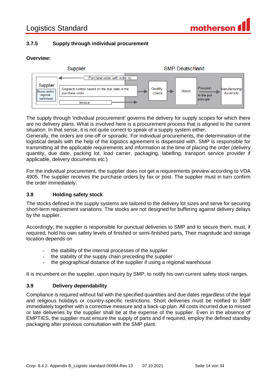

# <span id="page-13-0"></span>**3.7.5 Supply through individual procurement**

#### **Overview:**



The supply through 'individual procurement' governs the delivery for supply scopes for which there are no delivery plans. What is involved here is a procurement process that is aligned to the current situation. In that sense, it is not quite correct to speak of a supply system either.

Generally, the orders are one-off or sporadic. For individual procurements, the determination of the logistical details with the help of the logistics agreement is dispensed with. SMP is responsible for transmitting all the applicable requirements and information at the time of placing the order (delivery quantity, due date, packing lot, load carrier, packaging, labelling, transport service provider if applicable, delivery documents etc.)

For the individual procurement, the supplier does not get a requirements preview according to VDA 4905. The supplier receives the purchase orders by fax or post. The supplier must in turn confirm the order immediately.

#### <span id="page-13-1"></span>**3.8 Holding safety stock**

The stocks defined in the supply systems are tailored to the delivery lot sizes and serve for securing short-term requirement variations. The stocks are not designed for buffering against delivery delays by the supplier.

Accordingly, the supplier is responsible for punctual deliveries to SMP and to secure them, must, if required, hold his own safety levels of finished or semi-finished parts, Their magnitude and storage location depends on

- the stability of the internal processes of the supplier
- the stability of the supply chain preceding the supplier
- the geographical distance of the supplier if using a regional warehouse

It is incumbent on the supplier, upon inquiry by SMP, to notify his own current safety stock ranges.

#### <span id="page-13-2"></span>**3.9 Delivery dependability**

Compliance is required without fail with the specified quantities and due dates regardless of the legal and religious holidays or country-specific restrictions. Short deliveries must be notified to SMP immediately together with a corrective measure and a back-up plan. All costs incurred due to missed or late deliveries by the supplier shall be at the expense of the supplier. Even in the absence of EMPTIES, the supplier must ensure the supply of parts and if required, employ the defined standby packaging after previous consultation with the SMP plant.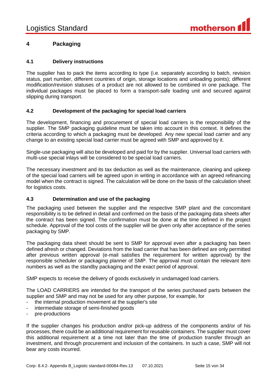

# <span id="page-14-0"></span>**4 Packaging**

#### <span id="page-14-1"></span>**4.1 Delivery instructions**

The supplier has to pack the items according to type (i.e. separately according to batch, revision status, part number, different countries of origin, storage locations and unloading points); different modification/revision statuses of a product are not allowed to be combined in one package. The individual packages must be placed to form a transport-safe loading unit and secured against slipping during transport.

#### <span id="page-14-2"></span>**4.2 Development of the packaging for special load carriers**

The development, financing and procurement of special load carriers is the responsibility of the supplier. The SMP packaging guideline must be taken into account in this context. It defines the criteria according to which a packaging must be developed. Any new special load carrier and any change to an existing special load carrier must be agreed with SMP and approved by it.

Single-use packaging will also be developed and paid for by the supplier. Universal load carriers with multi-use special inlays will be considered to be special load carriers.

The necessary investment and its tax deduction as well as the maintenance, cleaning and upkeep of the special load carriers will be agreed upon in writing in accordance with an agreed refinancing model when the contract is signed. The calculation will be done on the basis of the calculation sheet for logistics costs.

#### <span id="page-14-3"></span>**4.3 Determination and use of the packaging**

The packaging used between the supplier and the respective SMP plant and the concomitant responsibility is to be defined in detail and confirmed on the basis of the packaging data sheets after the contract has been signed. The confirmation must be done at the time defined in the project schedule. Approval of the tool costs of the supplier will be given only after acceptance of the series packaging by SMP.

The packaging data sheet should be sent to SMP for approval even after a packaging has been defined afresh or changed. Deviations from the load carrier that has been defined are only permitted after previous written approval (e-mail satisfies the requirement for written approval) by the responsible scheduler or packaging planner of SMP. The approval must contain the relevant item numbers as well as the standby packaging and the exact period of approval.

SMP expects to receive the delivery of goods exclusively in undamaged load carriers.

The LOAD CARRIERS are intended for the transport of the series purchased parts between the supplier and SMP and may not be used for any other purpose, for example, for

- the internal production movement at the supplier's site
- intermediate storage of semi-finished goods
- pre-productions

If the supplier changes his production and/or pick-up address of the components and/or of his processes, there could be an additional requirement for reusable containers. The supplier must cover this additional requirement at a time not later than the time of production transfer through an investment, and through procurement and inclusion of the containers. In such a case, SMP will not bear any costs incurred.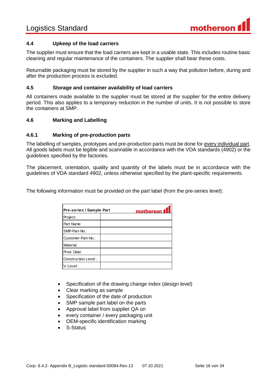

#### <span id="page-15-0"></span>**4.4 Upkeep of the load carriers**

The supplier must ensure that the load carriers are kept in a usable state. This includes routine basic cleaning and regular maintenance of the containers. The supplier shall bear these costs.

Returnable packaging must be stored by the supplier in such a way that pollution before, during and after the production process is excluded.

#### <span id="page-15-1"></span>**4.5 Storage and container availability of load carriers**

All containers made available to the supplier must be stored at the supplier for the entire delivery period. This also applies to a temporary reduction in the number of units. It is not possible to store the containers at SMP.

#### <span id="page-15-2"></span>**4.6 Marking and Labelling**

#### <span id="page-15-3"></span>**4.6.1 Marking of pre-production parts**

The labelling of samples, prototypes and pre-production parts must be done for every individual part. All goods labels must be legible and scannable in accordance with the VDA standards (4902) or the guidelines specified by the factories.

The placement, orientation, quality and quantity of the labels must be in accordance with the guidelines of VDA standard 4902, unless otherwise specified by the plant-specific requirements.

The following information must be provided on the part label (from the pre-series level):

| Pre-series / Sample Part | motherson 1 |
|--------------------------|-------------|
| Project:                 |             |
| Part Name                |             |
| SMP-Part-No.:            |             |
| Customer-Part-No.:       |             |
| Material:                |             |
| Prod. Date:              |             |
| Construction Level:      |             |
| V-Level:                 |             |

- Specification of the drawing change index (design level)
- Clear marking as sample
- Specification of the date of production
- SMP sample part label on the parts
- Approval label from supplier QA on
- every container / every packaging unit
- OEM-specific identification marking
- S-Status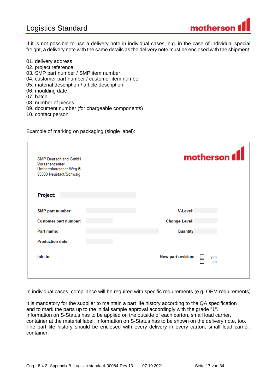# Logistics Standard



If it is not possible to use a delivery note in individual cases, e.g. in the case of individual special freight, a delivery note with the same details as the delivery note must be enclosed with the shipment:

- 01. delivery address
- 02. project reference
- 03. SMP part number / SMP item number
- 04. customer part number / customer item number
- 05. material description / article description
- 06. moulding date
- 07. batch
- 08. number of pieces
- 09. document number (for chargeable components)
- 10. contact person

Example of marking on packaging (single label):

| SMP Deutschland GmbH<br>Vorseriencenter<br>Umbertshausener Weg 6<br>93333 Neustadt/Schwaig | motherson f                     |
|--------------------------------------------------------------------------------------------|---------------------------------|
| Project:                                                                                   |                                 |
| SMP part number:                                                                           | <b>V-Level:</b>                 |
| <b>Customer part number:</b>                                                               | <b>Change Level:</b>            |
| Part name:                                                                                 | Quantity                        |
| <b>Production date:</b>                                                                    |                                 |
| Info to:                                                                                   | New part revision:<br>yes<br>no |

In individual cases, compliance will be required with specific requirements (e.g. OEM requirements).

It is mandatory for the supplier to maintain a part life history according to the QA specification and to mark the parts up to the initial sample approval accordingly with the grade "1". Information on S-Status has to be applied on the outside of each carton, small load carrier, container at the material label. Information on S-Status has to be shown on the delivery note, too. The part life history should be enclosed with every delivery in every carton, small load carrier, container.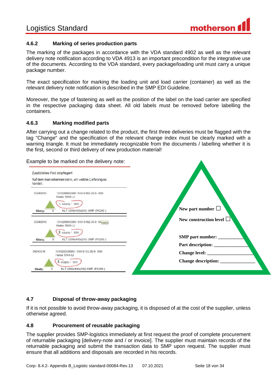

### <span id="page-17-0"></span>**4.6.2 Marking of series production parts**

The marking of the packages in accordance with the VDA standard 4902 as well as the relevant delivery note notification according to VDA 4913 is an important precondition for the integrative use of the documents. According to the VDA standard, every package/loading unit must carry a unique package number.

The exact specification for marking the loading unit and load carrier (container) as well as the relevant delivery note notification is described in the SMP EDI Guideline.

Moreover, the type of fastening as well as the position of the label on the load carrier are specified in the respective packaging data sheet. All old labels must be removed before labelling the containers.

#### <span id="page-17-1"></span>**4.6.3 Marking modified parts**

After carrying out a change related to the product, the first three deliveries must be flagged with the tag "Change" and the specification of the relevant change index must be clearly marked with a warning triangle. It must be immediately recognizable from the documents / labelling whether it is the first, second or third delivery of new production material!

Example to be marked on the delivery note:



# <span id="page-17-2"></span>**4.7 Disposal of throw-away packaging**

If it is not possible to avoid throw-away packaging, it is disposed of at the cost of the supplier, unless otherwise agreed.

#### <span id="page-17-3"></span>**4.8 Procurement of reusable packaging**

The supplier provides SMP-logistics immediately at first request the proof of complete procurement of returnable packaging [delivery-note and / or invoice]. The supplier must maintain records of the returnable packaging and submit the transaction data to SMP upon request. The supplier must ensure that all additions and disposals are recorded in his records.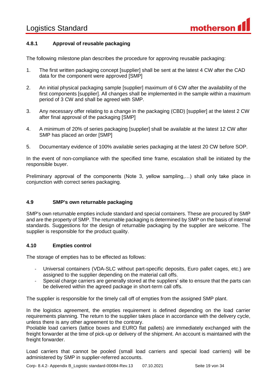

# <span id="page-18-0"></span>**4.8.1 Approval of reusable packaging**

The following milestone plan describes the procedure for approving reusable packaging:

- 1. The first written packaging concept [supplier] shall be sent at the latest 4 CW after the CAD data for the component were approved [SMP]
- 2. An initial physical packaging sample [supplier] maximum of 6 CW after the availability of the first components [supplier]. All changes shall be implemented in the sample within a maximum period of 3 CW and shall be agreed with SMP.
- 3. Any necessary offer relating to a change in the packaging (CBD) [supplier] at the latest 2 CW after final approval of the packaging [SMP]
- 4. A minimum of 20% of series packaging [supplier] shall be available at the latest 12 CW after SMP has placed an order [SMP]
- 5. Documentary evidence of 100% available series packaging at the latest 20 CW before SOP.

In the event of non-compliance with the specified time frame, escalation shall be initiated by the responsible buyer.

Preliminary approval of the components (Note 3, yellow sampling,…) shall only take place in conjunction with correct series packaging.

#### <span id="page-18-1"></span>**4.9 SMP's own returnable packaging**

SMP's own returnable empties include standard and special containers. These are procured by SMP and are the property of SMP. The returnable packaging is determined by SMP on the basis of internal standards. Suggestions for the design of returnable packaging by the supplier are welcome. The supplier is responsible for the product quality.

#### <span id="page-18-2"></span>**4.10 Empties control**

The storage of empties has to be effected as follows:

- Universal containers (VDA-SLC without part-specific deposits, Euro pallet cages, etc.) are assigned to the supplier depending on the material call offs.
- Special charge carriers are generally stored at the suppliers' site to ensure that the parts can be delivered within the agreed package in short-term call offs.

The supplier is responsible for the timely call off of empties from the assigned SMP plant.

In the logistics agreement, the empties requirement is defined depending on the load carrier requirements planning. The return to the supplier takes place in accordance with the delivery cycle, unless there is any other agreement to the contrary.

Poolable load carriers (lattice boxes and EURO flat pallets) are immediately exchanged with the freight forwarder at the time of pick-up or delivery of the shipment. An account is maintained with the freight forwarder.

Load carriers that cannot be pooled (small load carriers and special load carriers) will be administered by SMP in supplier-referred accounts.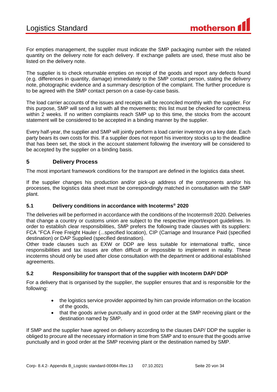For empties management, the supplier must indicate the SMP packaging number with the related quantity on the delivery note for each delivery. If exchange pallets are used, these must also be listed on the delivery note.

The supplier is to check returnable empties on receipt of the goods and report any defects found (e.g. differences in quantity, damage) immediately to the SMP contact person, stating the delivery note, photographic evidence and a summary description of the complaint. The further procedure is to be agreed with the SMP contact person on a case-by-case basis.

The load carrier accounts of the issues and receipts will be reconciled monthly with the supplier. For this purpose, SMP will send a list with all the movements; this list must be checked for correctness within 2 weeks. If no written complaints reach SMP up to this time, the stocks from the account statement will be considered to be accepted in a binding manner by the supplier.

Every half-year, the supplier and SMP will jointly perform a load carrier inventory on a key date. Each party bears its own costs for this. If a supplier does not report his inventory stocks up to the deadline that has been set, the stock in the account statement following the inventory will be considered to be accepted by the supplier on a binding basis.

# <span id="page-19-0"></span>**5 Delivery Process**

The most important framework conditions for the transport are defined in the logistics data sheet.

If the supplier changes his production and/or pick-up address of the components and/or his processes, the logistics data sheet must be correspondingly matched in consultation with the SMP plant.

#### <span id="page-19-1"></span>**5.1 Delivery conditions in accordance with Incoterms® 2020**

The deliveries will be performed in accordance with the conditions of the Incoterms® 2020. Deliveries that change a country or customs union are subject to the respective import/export guidelines. In order to establish clear responsibilities, SMP prefers the following trade clauses with its suppliers: FCA "FCA Free Freight Hauler (...specified location), CIP (Carriage and Insurance Paid (specified destination) or DAP Supplied (specified destination).

Other trade clauses such as EXW or DDP are less suitable for international traffic, since responsibilities and tax issues are often difficult or impossible to implement in reality. These incoterms should only be used after close consultation with the department or additional established agreements.

#### <span id="page-19-2"></span>**5.2 Responsibility for transport that of the supplier with Incoterm DAP/ DDP**

For a delivery that is organised by the supplier, the supplier ensures that and is responsible for the following:

- the logistics service provider appointed by him can provide information on the location of the goods,
- that the goods arrive punctually and in good order at the SMP receiving plant or the destination named by SMP.

If SMP and the supplier have agreed on delivery according to the clauses DAP/ DDP the supplier is obliged to procure all the necessary information in time from SMP and to ensure that the goods arrive punctually and in good order at the SMP receiving plant or the destination named by SMP.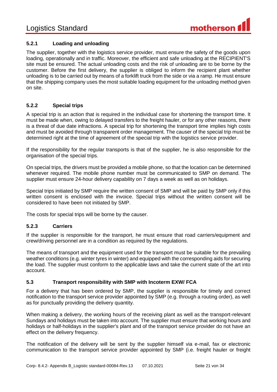

# <span id="page-20-0"></span>**5.2.1 Loading and unloading**

The supplier, together with the logistics service provider, must ensure the safety of the goods upon loading, operationally and in traffic. Moreover, the efficient and safe unloading at the RECIPIENT'S site must be ensured. The actual unloading costs and the risk of unloading are to be borne by the customer. Before the first delivery, the supplier is obliged to inform the recipient plant whether unloading is to be carried out by means of a forklift truck from the side or via a ramp. He must ensure that the shipping company uses the most suitable loading equipment for the unloading method given on site.

#### <span id="page-20-1"></span>**5.2.2 Special trips**

A special trip is an action that is required in the individual case for shortening the transport time. It must be made when, owing to delayed transfers to the freight hauler, or for any other reasons, there is a threat of due date infractions. A special trip for shortening the transport time implies high costs and must be avoided through transparent order management. The causer of the special trip must be determined right at the time of agreement of the special trip with the logistics service provider.

If the responsibility for the regular transports is that of the supplier, he is also responsible for the organisation of the special trips.

On special trips, the drivers must be provided a mobile phone, so that the location can be determined whenever required. The mobile phone number must be communicated to SMP on demand. The supplier must ensure 24-hour delivery capability on 7 days a week as well as on holidays.

Special trips initiated by SMP require the written consent of SMP and will be paid by SMP only if this written consent is enclosed with the invoice. Special trips without the written consent will be considered to have been not initiated by SMP.

The costs for special trips will be borne by the causer.

#### <span id="page-20-2"></span>**5.2.3 Carriers**

If the supplier is responsible for the transport, he must ensure that road carriers/equipment and crew/driving personnel are in a condition as required by the regulations.

The means of transport and the equipment used for the transport must be suitable for the prevailing weather conditions (e.g. winter tyres in winter) and equipped with the corresponding aids for securing the load. The supplier must conform to the applicable laws and take the current state of the art into account.

#### <span id="page-20-3"></span>**5.3 Transport responsibility with SMP with Incoterm EXW/ FCA**

For a delivery that has been ordered by SMP, the supplier is responsible for timely and correct notification to the transport service provider appointed by SMP (e.g. through a routing order), as well as for punctually providing the delivery quantity.

When making a delivery, the working hours of the receiving plant as well as the transport-relevant Sundays and holidays must be taken into account. The supplier must ensure that working hours and holidays or half-holidays in the supplier's plant and of the transport service provider do not have an effect on the delivery frequency.

The notification of the delivery will be sent by the supplier himself via e-mail, fax or electronic communication to the transport service provider appointed by SMP (i.e. freight hauler or freight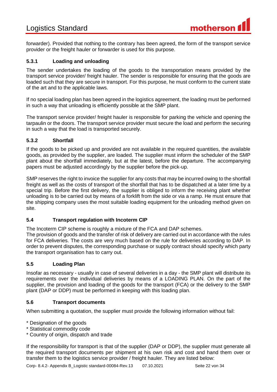# Logistics Standard

forwarder). Provided that nothing to the contrary has been agreed, the form of the transport service provider or the freight hauler or forwarder is used for this purpose.

## <span id="page-21-0"></span>**5.3.1 Loading and unloading**

The sender undertakes the loading of the goods to the transportation means provided by the transport service provider/ freight hauler. The sender is responsible for ensuring that the goods are loaded such that they are secure in transport. For this purpose, he must conform to the current state of the art and to the applicable laws.

If no special loading plan has been agreed in the logistics agreement, the loading must be performed in such a way that unloading is efficiently possible at the SMP plant.

The transport service provider/ freight hauler is responsible for parking the vehicle and opening the tarpaulin or the doors. The transport service provider must secure the load and perform the securing in such a way that the load is transported securely.

#### <span id="page-21-1"></span>**5.3.2 Shortfall**

If the goods to be picked up and provided are not available in the required quantities, the available goods, as provided by the supplier, are loaded. The supplier must inform the scheduler of the SMP plant about the shortfall immediately, but at the latest, before the departure. The accompanying papers must be adjusted accordingly by the supplier before the pick-up.

SMP reserves the right to invoice the supplier for any costs that may be incurred owing to the shortfall freight as well as the costs of transport of the shortfall that has to be dispatched at a later time by a special trip. Before the first delivery, the supplier is obliged to inform the receiving plant whether unloading is to be carried out by means of a forklift from the side or via a ramp. He must ensure that the shipping company uses the most suitable loading equipment for the unloading method given on site.

#### <span id="page-21-2"></span>**5.4 Transport regulation with Incoterm CIP**

The Incoterm CIP scheme is roughly a mixture of the FCA and DAP schemes.

The provision of goods and the transfer of risk of delivery are carried out in accordance with the rules for FCA deliveries. The costs are very much based on the rule for deliveries according to DAP. In order to prevent disputes, the corresponding purchase or supply contract should specify which party the transport organisation has to carry out.

#### <span id="page-21-3"></span>**5.5 Loading Plan**

Insofar as necessary - usually in case of several deliveries in a day - the SMP plant will distribute its requirements over the individual deliveries by means of a LOADING PLAN. On the part of the supplier, the provision and loading of the goods for the transport (FCA) or the delivery to the SMP plant (DAP or DDP) must be performed in keeping with this loading plan.

#### <span id="page-21-4"></span>**5.6 Transport documents**

When submitting a quotation, the supplier must provide the following information without fail:

\* Designation of the goods

- \* Statistical commodity code
- \* Country of origin, dispatch and trade

If the responsibility for transport is that of the supplier (DAP or DDP), the supplier must generate all the required transport documents per shipment at his own risk and cost and hand them over or transfer them to the logistics service provider / freight hauler. They are listed below:

Corp- 8.4.2- Appendix B\_Logistic standard-00084-Rev.13 07.10.2021 Seite 22 von 34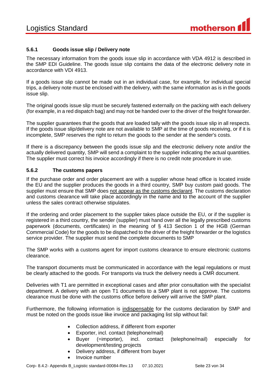

### <span id="page-22-0"></span>**5.6.1 Goods issue slip / Delivery note**

The necessary information from the goods issue slip in accordance with VDA 4912 is described in the SMP EDI Guideline. The goods issue slip contains the data of the electronic delivery note in accordance with VDI 4913.

If a goods issue slip cannot be made out in an individual case, for example, for individual special trips, a delivery note must be enclosed with the delivery, with the same information as is in the goods issue slip.

The original goods issue slip must be securely fastened externally on the packing with each delivery (for example, in a red dispatch bag) and may not be handed over to the driver of the freight forwarder.

The supplier guarantees that the goods that are loaded tally with the goods issue slip in all respects. If the goods issue slip/delivery note are not available to SMP at the time of goods receiving, or if it is incomplete, SMP reserves the right to return the goods to the sender at the sender's costs.

If there is a discrepancy between the goods issue slip and the electronic delivery note and/or the actually delivered quantity, SMP will send a complaint to the supplier indicating the actual quantities. The supplier must correct his invoice accordingly if there is no credit note procedure in use.

#### <span id="page-22-1"></span>**5.6.2 The customs papers**

If the purchase order and order placement are with a supplier whose head office is located inside the EU and the supplier produces the goods in a third country, SMP buy custom paid goods. The supplier must ensure that SMP does not appear as the customs declarant. The customs declaration and customs clearance will take place accordingly in the name and to the account of the supplier unless the sales contract otherwise stipulates.

If the ordering and order placement to the supplier takes place outside the EU, or if the supplier is registered in a third country, the sender (supplier) must hand over all the legally prescribed customs paperwork (documents, certificates) in the meaning of § 413 Section 1 of the HGB (German Commercial Code) for the goods to be dispatched to the driver of the freight forwarder or the logistics service provider. The supplier must send the complete documents to SMP

The SMP works with a customs agent for import customs clearance to ensure electronic customs clearance.

The transport documents must be communicated in accordance with the legal regulations or must be clearly attached to the goods. For transports via truck the delivery needs a CMR document.

Deliveries with T1 are permitted in exceptional cases and after prior consultation with the specialist department. A delivery with an open T1 documents to a SMP plant is not approve. The customs clearance must be done with the customs office before delivery will arrive the SMP plant.

Furthermore, the following information is indispensable for the customs declaration by SMP and must be noted on the goods issue like invoice and packaging list slip without fail:

- Collection address, if different from exporter
- Exporter, incl. contact (telephone/mail)
- Buyer (=importer), incl. contact (telephone/mail) especially for development/testing projects
- Delivery address, if different from buyer
- Invoice number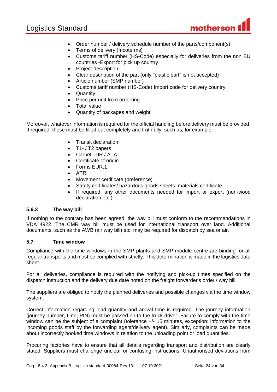

- Order number / delivery schedule number of the parts/component(s)
- Terms of delivery (Incoterms)
- Customs tariff number (HS-Code) especially for deliveries from the non EU countries -Export for pick up country
- Project description
- Clear description of the part (only "plastic part" is not accepted)
- Article number (SMP number)
- Customs tariff number (HS-Code) Import code for delivery country
- **Quantity**
- Price per unit from orderring
- **•** Total value
- Quantity of packages and weight

Moreover, whatever information is required for the official handling before delivery must be provided. If required, these must be filled out completely and truthfully, such as, for example:

- Transit declaration
- T1-/T2 papers
- Carnet -TIR / ATA
- Certificate of origin
- Forms FUR 1
- ATR
- Movement certificate (preference)
- Safety certificates/ hazardous goods sheets; materials certificate
- If required, any other documents needed for import or export (non-wood declaration etc.)

#### <span id="page-23-0"></span>**5.6.3 The way bill**

If nothing to the contrary has been agreed, the way bill must conform to the recommendations in VDA 4922. The CMR way bill must be used for international transport over land. Additional documents, such as the AWB (air way bill) etc. may be required for dispatch by sea or air.

#### <span id="page-23-1"></span>**5.7 Time window**

Compliance with the time windows in the SMP plants and SMP module centre are binding for all regular transports and must be complied with strictly. This determination is made in the logistics data sheet.

For all deliveries, compliance is required with the notifying and pick-up times specified on the dispatch instruction and the delivery due date noted on the freight forwarder's order / way bill.

The suppliers are obliged to notify the planned deliveries and possible changes via the time window system.

Correct information regarding load quantity and arrival time is required. The journey information (journey number, time, PIN) must be passed on to the truck driver. Failure to comply with the time window can be the subject of a complaint (tolerance  $+/-15$  minutes, exception: information to the incoming goods staff by the forwarding agent/delivery agent). Similarly, complaints can be made about incorrectly booked time windows in relation to the unloading point or load quantities.

Procuring factories have to ensure that all details regarding transport and distribution are clearly stated. Suppliers must challenge unclear or confusing instructions. Unauthorised deviations from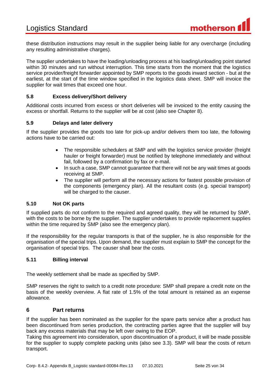these distribution instructions may result in the supplier being liable for any overcharge (including any resulting administrative charges).

The supplier undertakes to have the loading/unloading process at his loading/unloading point started within 30 minutes and run without interruption. This time starts from the moment that the logistics service provider/freight forwarder appointed by SMP reports to the goods inward section - but at the earliest, at the start of the time window specified in the logistics data sheet. SMP will invoice the supplier for wait times that exceed one hour.

#### <span id="page-24-0"></span>**5.8 Excess delivery/Short delivery**

Additional costs incurred from excess or short deliveries will be invoiced to the entity causing the excess or shortfall. Returns to the supplier will be at cost (also see Chapter 8).

#### <span id="page-24-1"></span>**5.9 Delays and later delivery**

If the supplier provides the goods too late for pick-up and/or delivers them too late, the following actions have to be carried out:

- The responsible schedulers at SMP and with the logistics service provider (freight hauler or freight forwarder) must be notified by telephone immediately and without fail, followed by a confirmation by fax or e-mail.
- In such a case, SMP cannot quarantee that there will not be any wait times at goods receiving at SMP.
- The supplier will perform all the necessary actions for fastest possible provision of the components (emergency plan). All the resultant costs (e.g. special transport) will be charged to the causer.

#### <span id="page-24-2"></span>**5.10 Not OK parts**

If supplied parts do not conform to the required and agreed quality, they will be returned by SMP, with the costs to be borne by the supplier. The supplier undertakes to provide replacement supplies within the time required by SMP (also see the emergency plan).

If the responsibility for the regular transports is that of the supplier, he is also responsible for the organisation of the special trips. Upon demand, the supplier must explain to SMP the concept for the organisation of special trips. The causer shall bear the costs.

#### <span id="page-24-3"></span>**5.11 Billing interval**

The weekly settlement shall be made as specified by SMP.

SMP reserves the right to switch to a credit note procedure: SMP shall prepare a credit note on the basis of the weekly overview. A flat rate of 1.5% of the total amount is retained as an expense allowance.

#### <span id="page-24-4"></span>**6 Part returns**

If the supplier has been nominated as the supplier for the spare parts service after a product has been discontinued from series production, the contracting parties agree that the supplier will buy back any excess materials that may be left over owing to the EOP.

Taking this agreement into consideration, upon discontinuation of a product, it will be made possible for the supplier to supply complete packing units (also see 3.3). SMP will bear the costs of return transport.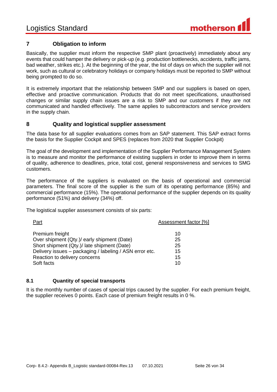

# <span id="page-25-0"></span>**7 Obligation to inform**

Basically, the supplier must inform the respective SMP plant (proactively) immediately about any events that could hamper the delivery or pick-up (e.g. production bottlenecks, accidents, traffic jams, bad weather, strikes etc.). At the beginning of the year, the list of days on which the supplier will not work, such as cultural or celebratory holidays or company holidays must be reported to SMP without being prompted to do so.

It is extremely important that the relationship between SMP and our suppliers is based on open, effective and proactive communication. Products that do not meet specifications, unauthorised changes or similar supply chain issues are a risk to SMP and our customers if they are not communicated and handled effectively. The same applies to subcontractors and service providers in the supply chain.

### <span id="page-25-1"></span>**8 Quality and logistical supplier assessment**

The data base for all supplier evaluations comes from an SAP statement. This SAP extract forms the basis for the Supplier Cockpit and SPES (replaces from 2020 that Supplier Cockpit)

The goal of the development and implementation of the Supplier Performance Management System is to measure and monitor the performance of existing suppliers in order to improve them in terms of quality, adherence to deadlines, price, total cost, general responsiveness and services to SMG customers.

The performance of the suppliers is evaluated on the basis of operational and commercial parameters. The final score of the supplier is the sum of its operating performance (85%) and commercial performance (15%). The operational performance of the supplier depends on its quality performance (51%) and delivery (34%) off.

The logistical supplier assessment consists of six parts:

| Part                                                    | Assessment factor [%] |
|---------------------------------------------------------|-----------------------|
| Premium freight                                         | 10                    |
| Over shipment (Qty.)/ early shipment (Date)             | 25                    |
| Short shipment (Qty.)/ late shipment (Date)             | 25                    |
| Delivery issues - packaging / labeling / ASN error etc. | 15                    |
| Reaction to delivery concerns                           | 15                    |
| Soft facts                                              | 10                    |

#### <span id="page-25-2"></span>**8.1 Quantity of special transports**

It is the monthly number of cases of special trips caused by the supplier. For each premium freight, the supplier receives 0 points. Each case of premium freight results in 0 %.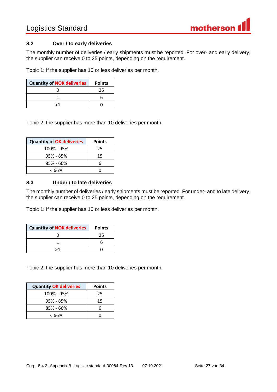

#### <span id="page-26-0"></span>**8.2 Over / to early deliveries**

The monthly number of deliveries / early shipments must be reported. For over- and early delivery, the supplier can receive 0 to 25 points, depending on the requirement.

Topic 1: If the supplier has 10 or less deliveries per month.

| <b>Quantity of NOK deliveries</b> | <b>Points</b> |
|-----------------------------------|---------------|
|                                   |               |
|                                   |               |
| >1                                |               |

Topic 2: the supplier has more than 10 deliveries per month.

| <b>Quantity of OK deliveries</b> | <b>Points</b> |
|----------------------------------|---------------|
| 100% - 95%                       | 25            |
| 95% - 85%                        | 15            |
| 85% - 66%                        | հ             |
| < 66%                            |               |

#### <span id="page-26-1"></span>**8.3 Under / to late deliveries**

The monthly number of deliveries / early shipments must be reported. For under- and to late delivery, the supplier can receive 0 to 25 points, depending on the requirement.

Topic 1: If the supplier has 10 or less deliveries per month.

| <b>Quantity of NOK deliveries</b> | <b>Points</b> |
|-----------------------------------|---------------|
|                                   | 25            |
|                                   |               |
| \1                                |               |

Topic 2: the supplier has more than 10 deliveries per month.

| <b>Quantity OK deliveries</b> | <b>Points</b> |
|-------------------------------|---------------|
| 100% - 95%                    | 25            |
| $95\% - 85\%$                 | 15            |
| 85% - 66%                     | 6             |
| < 66%                         |               |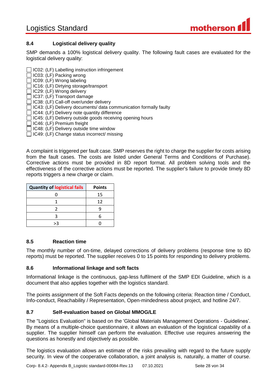

# <span id="page-27-0"></span>**8.4 Logistical delivery quality**

SMP demands a 100% logistical delivery quality. The following fault cases are evaluated for the logistical delivery quality:

| $\Box$ IC02: (LF) Labelling instruction infringement                     |
|--------------------------------------------------------------------------|
| $\Box$ IC03: (LF) Packing wrong                                          |
| $\Box$ IC09: (LF) Wrong labeling                                         |
| $\Box$ IC16: (LF) Dirtying storage/transport                             |
| $\Box$ IC29: (LF) Wrong delivery                                         |
| $\Box$ IC37: (LF) Transport damage                                       |
| □ IC38: (LF) Call-off over/under delivery                                |
| $\Box$ IC43: (LF) Delivery documents/ data communication formally faulty |
| $\Box$ IC44: (LF) Delivery note quantity difference                      |
| □ IC45: (LF) Delivery outside goods receiving opening hours              |
| $\Box$ IC46: (LF) Premium freight                                        |
| $\Box$ IC48: (LF) Delivery outside time window                           |
| IC49: (LF) Change status incorrect/ missing                              |

A complaint is triggered per fault case. SMP reserves the right to charge the supplier for costs arising from the fault cases. The costs are listed under General Terms and Conditions of Purchase). Corrective actions must be provided in 8D report format. All problem solving tools and the effectiveness of the corrective actions must be reported. The supplier's failure to provide timely 8D reports triggers a new charge or claim.

| <b>Quantity of logistical fails</b> | <b>Points</b> |
|-------------------------------------|---------------|
|                                     | 15            |
|                                     | 12            |
|                                     |               |
|                                     |               |
|                                     |               |

# <span id="page-27-1"></span>**8.5 Reaction time**

The monthly number of on-time, delayed corrections of delivery problems (response time to 8D reports) must be reported. The supplier receives 0 to 15 points for responding to delivery problems.

#### <span id="page-27-2"></span>**8.6 Informational linkage and soft facts**

Informational linkage is the continuous, gap-less fulfilment of the SMP EDI Guideline, which is a document that also applies together with the logistics standard.

The points assignment of the Soft Facts depends on the following criteria: Reaction time / Conduct, Info-conduct, Reachability / Representation, Open-mindedness about project, and hotline 24/7.

# <span id="page-27-3"></span>**8.7 Self-evaluation based on Global MMOG/LE**

The "Logistics Evaluation" is based on the 'Global Materials Management Operations - Guidelines'. By means of a multiple-choice questionnaire, it allows an evaluation of the logistical capability of a supplier. The supplier himself can perform the evaluation. Effective use requires answering the questions as honestly and objectively as possible.

The logistics evaluation allows an estimate of the risks prevailing with regard to the future supply security. In view of the cooperative collaboration, a joint analysis is, naturally, a matter of course.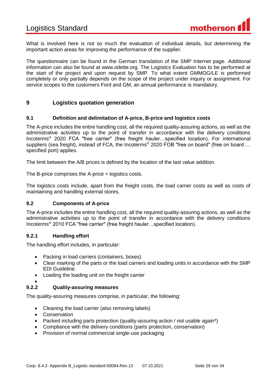What is involved here is not so much the evaluation of individual details, but determining the important action areas for improving the performance of the supplier.

The questionnaire can be found in the German translation of the SMP Internet page. Additional information can also be found at www.odette.org. The Logistics Evaluation has to be performed at the start of the project and upon request by SMP. To what extent GMMOG/LE is performed completely or only partially depends on the scope of the project under inquiry or assignment. For service scopes to the customers Ford and GM, an annual performance is mandatory.

### <span id="page-28-0"></span>**9 Logistics quotation generation**

#### <span id="page-28-1"></span>**9.1 Definition and delimitation of A-price, B-price and logistics costs**

The A-price includes the entire handling cost, all the required quality-assuring actions, as well as the administrative activities up to the point of transfer in accordance with the delivery conditions Incoterms® 2020 FCA "free carrier" (free freight hauler…specified location). For international suppliers (sea freight), instead of FCA, the Incoterms<sup>®</sup> 2020 FOB "free on board" (free on board ... specified port) applies.

The limit between the A/B prices is defined by the location of the last value addition.

The B-price comprises the A-price + logistics costs.

The logistics costs include, apart from the freight costs, the load carrier costs as well as costs of maintaining and handling external stores.

#### <span id="page-28-2"></span>**9.2 Components of A-price**

The A-price includes the entire handling cost, all the required quality-assuring actions, as well as the administrative activities up to the point of transfer in accordance with the delivery conditions Incoterms® 2010 FCA "free carrier" (free freight hauler…specified location).

#### <span id="page-28-3"></span>**9.2.1 Handling effort**

The handling effort includes, in particular:

- Packing in load carriers (containers, boxes)
- Clear marking of the parts or the load carriers and loading units in accordance with the SMP EDI Guideline.
- Loading the loading unit on the freight carrier
- $\bullet$

#### <span id="page-28-4"></span>**9.2.2 Quality-assuring measures**

The quality-assuring measures comprise, in particular, the following:

- Cleaning the load carrier (also removing labels)
- Conservation
- Packed including parts protection (quality-assuring action / not usable again\*)
- Compliance with the delivery conditions (parts protection, conservation)
- Provision of normal commercial single-use packaging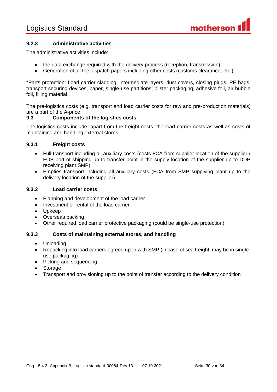

# <span id="page-29-0"></span>**9.2.3 Administrative activities**

The administrative activities include:

- the data exchange required with the delivery process (reception, transmission)
- Generation of all the dispatch papers including other costs (customs clearance, etc.)

\*Parts protection: Load carrier cladding, intermediate layers, dust covers, closing plugs, PE bags, transport securing devices, paper, single-use partitions, blister packaging, adhesive foil, air bubble foil, filling material

The pre-logistics costs (e.g. transport and load carrier costs for raw and pre-production materials) are a part of the A-price.

#### <span id="page-29-1"></span>**9.3 Components of the logistics costs**

The logistics costs include, apart from the freight costs, the load carrier costs as well as costs of maintaining and handling external stores.

#### <span id="page-29-2"></span>**9.3.1 Freight costs**

- Full transport including all auxiliary costs (costs FCA from supplier location of the supplier / FOB port of shipping up to transfer point in the supply location of the supplier up to DDP receiving plant SMP)
- Empties transport including all auxiliary costs (FCA from SMP supplying plant up to the delivery location of the supplier)

#### <span id="page-29-3"></span>**9.3.2 Load carrier costs**

- Planning and development of the load carrier
- Investment or rental of the load carrier
- Upkeep
- Overseas packing
- Other required load carrier protective packaging (could be single-use protection)

#### <span id="page-29-4"></span>**9.3.3 Costs of maintaining external stores, and handling**

- Unloading
- Repacking into load carriers agreed upon with SMP (in case of sea freight, may be in singleuse packaging)
- Picking and sequencing
- Storage
- Transport and provisioning up to the point of transfer according to the delivery condition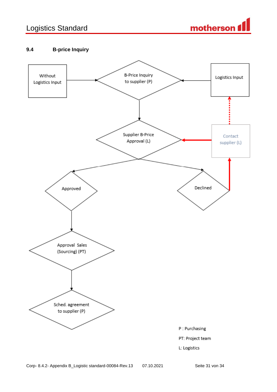# Logistics Standard



# <span id="page-30-0"></span>**9.4 B-price Inquiry**

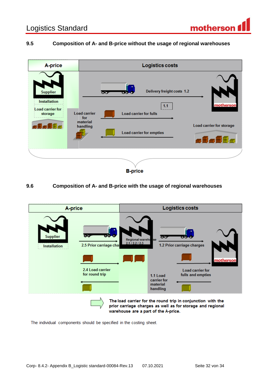## <span id="page-31-0"></span>**9.5 Composition of A- and B-price without the usage of regional warehouses**



### <span id="page-31-1"></span>**9.6 Composition of A- and B-price with the usage of regional warehouses**



The individual components should be specified in the costing sheet.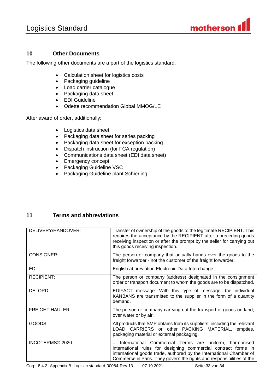

# <span id="page-32-0"></span>**10 Other Documents**

The following other documents are a part of the logistics standard:

- Calculation sheet for logistics costs
- Packaging guideline
- Load carrier catalogue
- Packaging data sheet
- EDI Guideline
- Odette recommendation Global MMOG/LE

After award of order, additionally:

- Logistics data sheet
- Packaging data sheet for series packing
- Packaging data sheet for exception packing
- Dispatch instruction (for FCA regulation)
- Communications data sheet (EDI data sheet)
- Emergency concept
- Packaging Guideline VSC
- Packaging Guideline plant Schierling

# <span id="page-32-1"></span>**11 Terms and abbreviations**

| DELIVERY/HANDOVER:    | Transfer of ownership of the goods to the legitimate RECIPIENT. This<br>requires the acceptance by the RECIPIENT after a preceding goods<br>receiving inspection or after the prompt by the seller for carrying out<br>this goods receiving inspection.                         |
|-----------------------|---------------------------------------------------------------------------------------------------------------------------------------------------------------------------------------------------------------------------------------------------------------------------------|
| <b>CONSIGNER:</b>     | The person or company that actually hands over the goods to the<br>freight forwarder - not the customer of the freight forwarder.                                                                                                                                               |
| EDI:                  | English abbreviation Electronic Data Interchange                                                                                                                                                                                                                                |
| <b>RECIPIENT:</b>     | The person or company (address) designated in the consignment<br>order or transport document to whom the goods are to be dispatched.                                                                                                                                            |
| DELORD:               | EDIFACT message: With this type of message, the individual<br>KANBANS are transmitted to the supplier in the form of a quantity<br>demand.                                                                                                                                      |
| <b>FREIGHT HAULER</b> | The person or company carrying out the transport of goods on land,<br>over water or by air.                                                                                                                                                                                     |
| GOODS:                | All products that SMP obtains from its suppliers, including the relevant<br>LOAD CARRIERS or other PACKING MATERIAL, empties,<br>packaging material or external packaging.                                                                                                      |
| INCOTERMS® 2020       | International Commercial Terms are uniform, harmonised<br>$=$<br>international rules for designing commercial contract forms in<br>international goods trade, authored by the International Chamber of<br>Commerce in Paris. They govern the rights and responsibilities of the |

Corp- 8.4.2- Appendix B\_Logistic standard-00084-Rev.13 07.10.2021 Seite 33 von 34